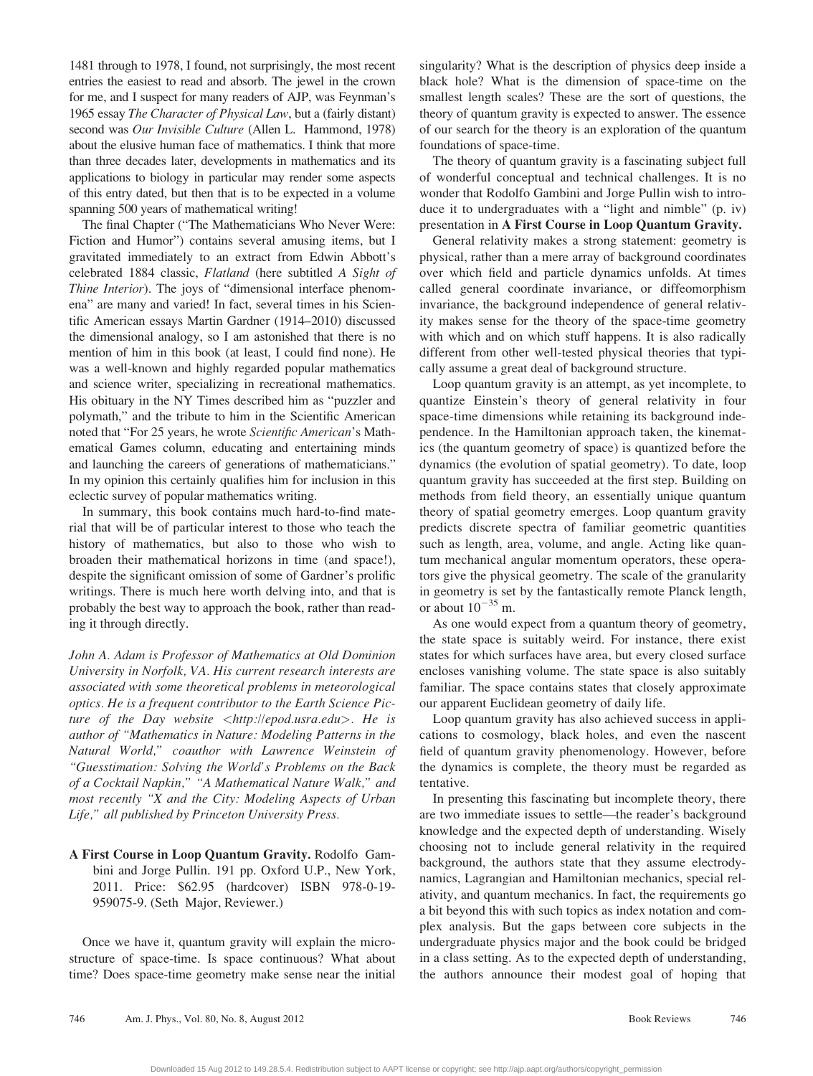1481 through to 1978, I found, not surprisingly, the most recent entries the easiest to read and absorb. The jewel in the crown for me, and I suspect for many readers of AJP, was Feynman's 1965 essay The Character of Physical Law, but a (fairly distant) second was Our Invisible Culture (Allen L. Hammond, 1978) about the elusive human face of mathematics. I think that more than three decades later, developments in mathematics and its applications to biology in particular may render some aspects of this entry dated, but then that is to be expected in a volume spanning 500 years of mathematical writing!

The final Chapter ("The Mathematicians Who Never Were: Fiction and Humor") contains several amusing items, but I gravitated immediately to an extract from Edwin Abbott's celebrated 1884 classic, Flatland (here subtitled A Sight of Thine Interior). The joys of "dimensional interface phenomena" are many and varied! In fact, several times in his Scientific American essays Martin Gardner (1914–2010) discussed the dimensional analogy, so I am astonished that there is no mention of him in this book (at least, I could find none). He was a well-known and highly regarded popular mathematics and science writer, specializing in recreational mathematics. His obituary in the NY Times described him as "puzzler and polymath," and the tribute to him in the Scientific American noted that "For 25 years, he wrote Scientific American's Mathematical Games column, educating and entertaining minds and launching the careers of generations of mathematicians." In my opinion this certainly qualifies him for inclusion in this eclectic survey of popular mathematics writing.

In summary, this book contains much hard-to-find material that will be of particular interest to those who teach the history of mathematics, but also to those who wish to broaden their mathematical horizons in time (and space!), despite the significant omission of some of Gardner's prolific writings. There is much here worth delving into, and that is probably the best way to approach the book, rather than reading it through directly.

John A. Adam is Professor of Mathematics at Old Dominion University in Norfolk, VA. His current research interests are associated with some theoretical problems in meteorological optics. He is a frequent contributor to the Earth Science Picture of the Day website <http://epod.usra.edu>. He is author of "Mathematics in Nature: Modeling Patterns in the Natural World," coauthor with Lawrence Weinstein of "Guesstimation: Solving the World's Problems on the Back of a Cocktail Napkin," "A Mathematical Nature Walk," and most recently "X and the City: Modeling Aspects of Urban Life," all published by Princeton University Press.

A First Course in Loop Quantum Gravity. Rodolfo Gambini and Jorge Pullin. 191 pp. Oxford U.P., New York, 2011. Price: \$62.95 (hardcover) ISBN 978-0-19- 959075-9. (Seth Major, Reviewer.)

Once we have it, quantum gravity will explain the microstructure of space-time. Is space continuous? What about time? Does space-time geometry make sense near the initial

singularity? What is the description of physics deep inside a black hole? What is the dimension of space-time on the smallest length scales? These are the sort of questions, the theory of quantum gravity is expected to answer. The essence of our search for the theory is an exploration of the quantum foundations of space-time.

The theory of quantum gravity is a fascinating subject full of wonderful conceptual and technical challenges. It is no wonder that Rodolfo Gambini and Jorge Pullin wish to introduce it to undergraduates with a "light and nimble" (p. iv) presentation in A First Course in Loop Quantum Gravity.

General relativity makes a strong statement: geometry is physical, rather than a mere array of background coordinates over which field and particle dynamics unfolds. At times called general coordinate invariance, or diffeomorphism invariance, the background independence of general relativity makes sense for the theory of the space-time geometry with which and on which stuff happens. It is also radically different from other well-tested physical theories that typically assume a great deal of background structure.

Loop quantum gravity is an attempt, as yet incomplete, to quantize Einstein's theory of general relativity in four space-time dimensions while retaining its background independence. In the Hamiltonian approach taken, the kinematics (the quantum geometry of space) is quantized before the dynamics (the evolution of spatial geometry). To date, loop quantum gravity has succeeded at the first step. Building on methods from field theory, an essentially unique quantum theory of spatial geometry emerges. Loop quantum gravity predicts discrete spectra of familiar geometric quantities such as length, area, volume, and angle. Acting like quantum mechanical angular momentum operators, these operators give the physical geometry. The scale of the granularity in geometry is set by the fantastically remote Planck length, or about  $10^{-35}$  m.

As one would expect from a quantum theory of geometry, the state space is suitably weird. For instance, there exist states for which surfaces have area, but every closed surface encloses vanishing volume. The state space is also suitably familiar. The space contains states that closely approximate our apparent Euclidean geometry of daily life.

Loop quantum gravity has also achieved success in applications to cosmology, black holes, and even the nascent field of quantum gravity phenomenology. However, before the dynamics is complete, the theory must be regarded as tentative.

In presenting this fascinating but incomplete theory, there are two immediate issues to settle—the reader's background knowledge and the expected depth of understanding. Wisely choosing not to include general relativity in the required background, the authors state that they assume electrodynamics, Lagrangian and Hamiltonian mechanics, special relativity, and quantum mechanics. In fact, the requirements go a bit beyond this with such topics as index notation and complex analysis. But the gaps between core subjects in the undergraduate physics major and the book could be bridged in a class setting. As to the expected depth of understanding, the authors announce their modest goal of hoping that